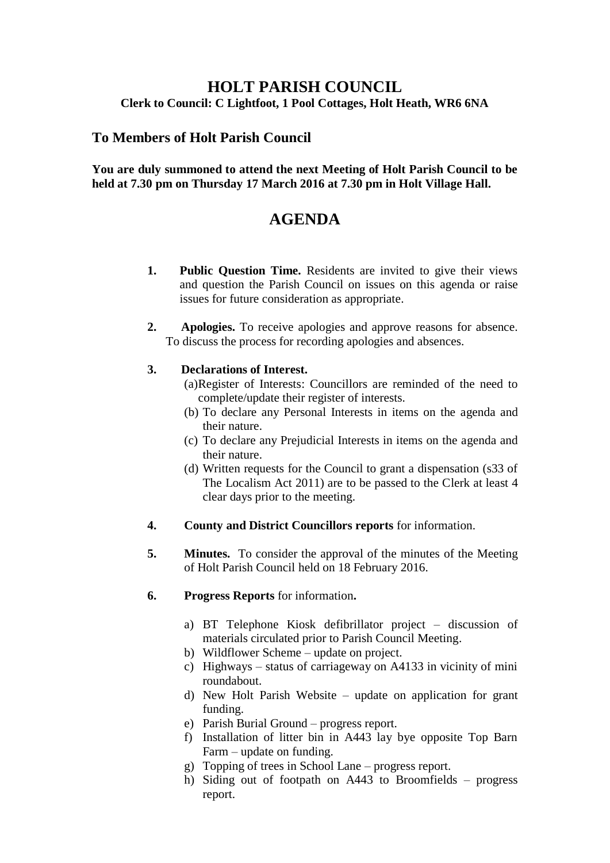## **HOLT PARISH COUNCIL Clerk to Council: C Lightfoot, 1 Pool Cottages, Holt Heath, WR6 6NA**

## **To Members of Holt Parish Council**

### **You are duly summoned to attend the next Meeting of Holt Parish Council to be held at 7.30 pm on Thursday 17 March 2016 at 7.30 pm in Holt Village Hall.**

# **AGENDA**

- **1. Public Question Time.** Residents are invited to give their views and question the Parish Council on issues on this agenda or raise issues for future consideration as appropriate.
- **2. Apologies.** To receive apologies and approve reasons for absence. To discuss the process for recording apologies and absences.

## **3. Declarations of Interest.**

- (a)Register of Interests: Councillors are reminded of the need to complete/update their register of interests.
- (b) To declare any Personal Interests in items on the agenda and their nature.
- (c) To declare any Prejudicial Interests in items on the agenda and their nature.
- (d) Written requests for the Council to grant a dispensation (s33 of The Localism Act 2011) are to be passed to the Clerk at least 4 clear days prior to the meeting.
- **4. County and District Councillors reports** for information.
- **5. Minutes.** To consider the approval of the minutes of the Meeting of Holt Parish Council held on 18 February 2016.
- **6. Progress Reports** for information**.**
	- a) BT Telephone Kiosk defibrillator project discussion of materials circulated prior to Parish Council Meeting.
	- b) Wildflower Scheme update on project.
	- c) Highways status of carriageway on A4133 in vicinity of mini roundabout.
	- d) New Holt Parish Website update on application for grant funding.
	- e) Parish Burial Ground progress report.
	- f) Installation of litter bin in A443 lay bye opposite Top Barn Farm – update on funding.
	- g) Topping of trees in School Lane progress report.
	- h) Siding out of footpath on A443 to Broomfields progress report.